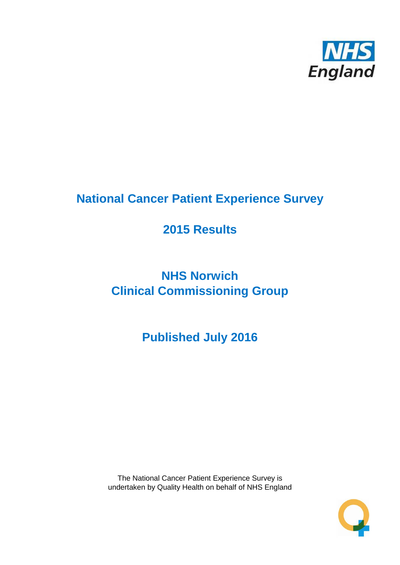

# **National Cancer Patient Experience Survey**

# **2015 Results**

# **NHS Norwich Clinical Commissioning Group**

**Published July 2016**

The National Cancer Patient Experience Survey is undertaken by Quality Health on behalf of NHS England

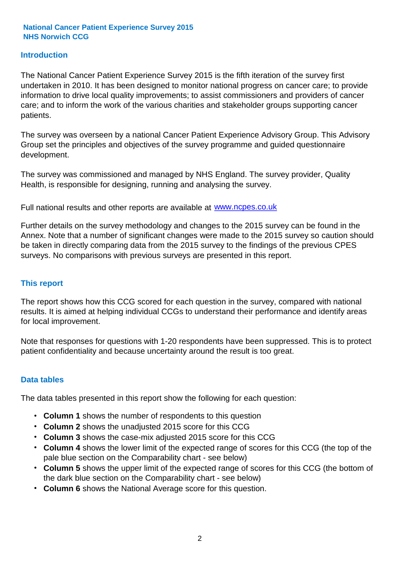#### **Introduction**

The National Cancer Patient Experience Survey 2015 is the fifth iteration of the survey first undertaken in 2010. It has been designed to monitor national progress on cancer care; to provide information to drive local quality improvements; to assist commissioners and providers of cancer care; and to inform the work of the various charities and stakeholder groups supporting cancer patients.

The survey was overseen by a national Cancer Patient Experience Advisory Group. This Advisory Group set the principles and objectives of the survey programme and guided questionnaire development.

The survey was commissioned and managed by NHS England. The survey provider, Quality Health, is responsible for designing, running and analysing the survey.

Full national results and other reports are available at www.ncpes.co.uk

Further details on the survey methodology and changes to the 2015 survey can be found in the Annex. Note that a number of significant changes were made to the 2015 survey so caution should be taken in directly comparing data from the 2015 survey to the findings of the previous CPES surveys. No comparisons with previous surveys are presented in this report.

#### **This report**

The report shows how this CCG scored for each question in the survey, compared with national results. It is aimed at helping individual CCGs to understand their performance and identify areas for local improvement.

Note that responses for questions with 1-20 respondents have been suppressed. This is to protect patient confidentiality and because uncertainty around the result is too great.

#### **Data tables**

The data tables presented in this report show the following for each question:

- **Column 1** shows the number of respondents to this question
- **Column 2** shows the unadjusted 2015 score for this CCG
- **Column 3** shows the case-mix adjusted 2015 score for this CCG
- **Column 4** shows the lower limit of the expected range of scores for this CCG (the top of the pale blue section on the Comparability chart - see below)
- **Column 5** shows the upper limit of the expected range of scores for this CCG (the bottom of the dark blue section on the Comparability chart - see below)
- **Column 6** shows the National Average score for this question.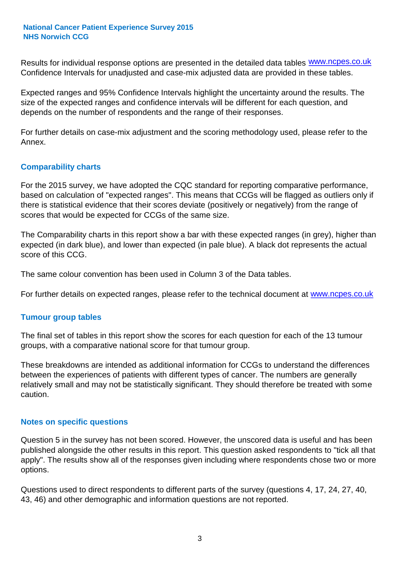Results for individual response options are presented in the detailed data tables **WWW.ncpes.co.uk** Confidence Intervals for unadjusted and case-mix adjusted data are provided in these tables.

Expected ranges and 95% Confidence Intervals highlight the uncertainty around the results. The size of the expected ranges and confidence intervals will be different for each question, and depends on the number of respondents and the range of their responses.

For further details on case-mix adjustment and the scoring methodology used, please refer to the Annex.

#### **Comparability charts**

For the 2015 survey, we have adopted the CQC standard for reporting comparative performance, based on calculation of "expected ranges". This means that CCGs will be flagged as outliers only if there is statistical evidence that their scores deviate (positively or negatively) from the range of scores that would be expected for CCGs of the same size.

The Comparability charts in this report show a bar with these expected ranges (in grey), higher than expected (in dark blue), and lower than expected (in pale blue). A black dot represents the actual score of this CCG.

The same colour convention has been used in Column 3 of the Data tables.

For further details on expected ranges, please refer to the technical document at **www.ncpes.co.uk** 

#### **Tumour group tables**

The final set of tables in this report show the scores for each question for each of the 13 tumour groups, with a comparative national score for that tumour group.

These breakdowns are intended as additional information for CCGs to understand the differences between the experiences of patients with different types of cancer. The numbers are generally relatively small and may not be statistically significant. They should therefore be treated with some caution.

#### **Notes on specific questions**

Question 5 in the survey has not been scored. However, the unscored data is useful and has been published alongside the other results in this report. This question asked respondents to "tick all that apply". The results show all of the responses given including where respondents chose two or more options.

Questions used to direct respondents to different parts of the survey (questions 4, 17, 24, 27, 40, 43, 46) and other demographic and information questions are not reported.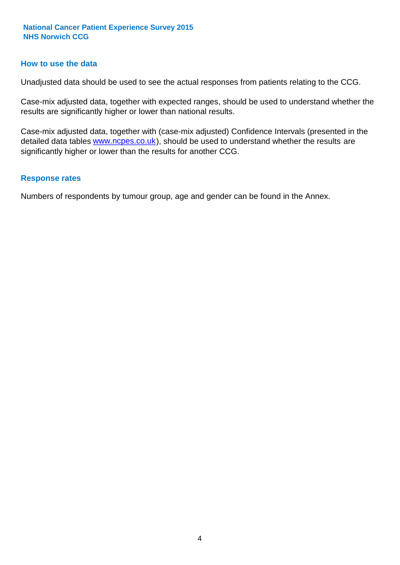#### **How to use the data**

Unadjusted data should be used to see the actual responses from patients relating to the CCG.

Case-mix adjusted data, together with expected ranges, should be used to understand whether the results are significantly higher or lower than national results.

Case-mix adjusted data, together with (case-mix adjusted) Confidence Intervals (presented in the detailed data tables **www.ncpes.co.uk**), should be used to understand whether the results are significantly higher or lower than the results for another CCG.

#### **Response rates**

Numbers of respondents by tumour group, age and gender can be found in the Annex.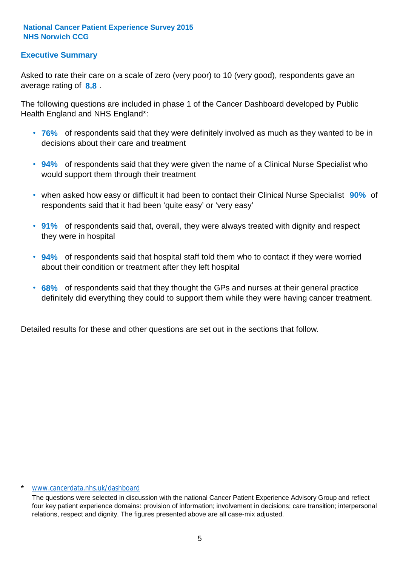#### **Executive Summary**

average rating of **8.8**. Asked to rate their care on a scale of zero (very poor) to 10 (very good), respondents gave an

The following questions are included in phase 1 of the Cancer Dashboard developed by Public Health England and NHS England\*:

- **76%** of respondents said that they were definitely involved as much as they wanted to be in decisions about their care and treatment
- **94%** of respondents said that they were given the name of a Clinical Nurse Specialist who would support them through their treatment
- when asked how easy or difficult it had been to contact their Clinical Nurse Specialist 90% of respondents said that it had been 'quite easy' or 'very easy'
- **91%** of respondents said that, overall, they were always treated with dignity and respect they were in hospital
- **94%** of respondents said that hospital staff told them who to contact if they were worried about their condition or treatment after they left hospital
- **68%** of respondents said that they thought the GPs and nurses at their general practice definitely did everything they could to support them while they were having cancer treatment.

Detailed results for these and other questions are set out in the sections that follow.

#### \* www.cancerdata.nhs.uk/dashboard

The questions were selected in discussion with the national Cancer Patient Experience Advisory Group and reflect four key patient experience domains: provision of information; involvement in decisions; care transition; interpersonal relations, respect and dignity. The figures presented above are all case-mix adjusted.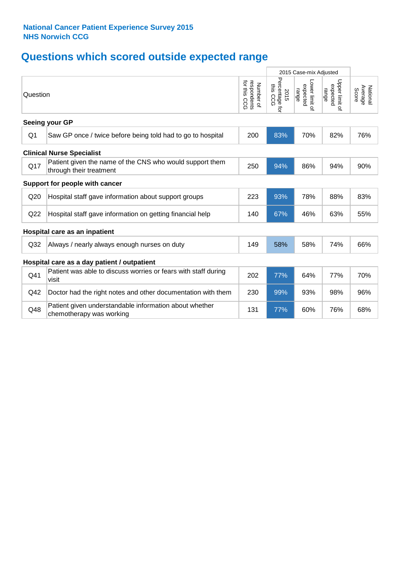# **Questions which scored outside expected range**

|                 |                                                                                     |                                                      | 2015 Case-mix Adjusted               |                                     |                                     |                              |
|-----------------|-------------------------------------------------------------------------------------|------------------------------------------------------|--------------------------------------|-------------------------------------|-------------------------------------|------------------------------|
| Question        |                                                                                     | for this<br>respondents<br>for this CCG<br>Number of | Percentage for<br>ins<br>2015<br>CCG | Lower limit of<br>expected<br>range | Upper limit of<br>expected<br>range | National<br>Average<br>Score |
|                 | Seeing your GP                                                                      |                                                      |                                      |                                     |                                     |                              |
| Q <sub>1</sub>  | Saw GP once / twice before being told had to go to hospital                         | 200                                                  | 83%                                  | 70%                                 | 82%                                 | 76%                          |
|                 | <b>Clinical Nurse Specialist</b>                                                    |                                                      |                                      |                                     |                                     |                              |
| Q17             | Patient given the name of the CNS who would support them<br>through their treatment | 250                                                  | 94%                                  | 86%                                 | 94%                                 | 90%                          |
|                 | Support for people with cancer                                                      |                                                      |                                      |                                     |                                     |                              |
| Q20             | Hospital staff gave information about support groups                                | 223                                                  | 93%                                  | 78%                                 | 88%                                 | 83%                          |
| Q <sub>22</sub> | Hospital staff gave information on getting financial help                           | 140                                                  | 67%                                  | 46%                                 | 63%                                 | 55%                          |
|                 | Hospital care as an inpatient                                                       |                                                      |                                      |                                     |                                     |                              |
| Q <sub>32</sub> | Always / nearly always enough nurses on duty                                        | 149                                                  | 58%                                  | 58%                                 | 74%                                 | 66%                          |
|                 | Hospital care as a day patient / outpatient                                         |                                                      |                                      |                                     |                                     |                              |
| Q41             | Patient was able to discuss worries or fears with staff during<br>visit             | 202                                                  | 77%                                  | 64%                                 | 77%                                 | 70%                          |
| Q42             | Doctor had the right notes and other documentation with them                        | 230                                                  | 99%                                  | 93%                                 | 98%                                 | 96%                          |
| Q48             | Patient given understandable information about whether<br>chemotherapy was working  | 131                                                  | 77%                                  | 60%                                 | 76%                                 | 68%                          |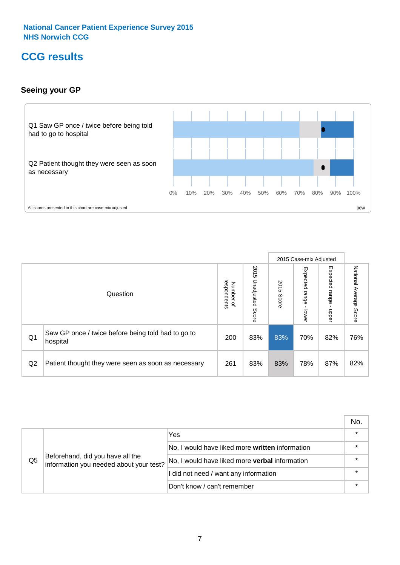### **CCG results**

#### **Seeing your GP**



|    |                                                                |                                              |                             |               | 2015 Case-mix Adjusted     |                            |                           |
|----|----------------------------------------------------------------|----------------------------------------------|-----------------------------|---------------|----------------------------|----------------------------|---------------------------|
|    | Question                                                       | respondents<br>Number<br>$\overline{\sigma}$ | 2015<br>Unadjusted<br>Score | 2015<br>Score | Expected<br>range<br>lower | Expected<br>range<br>nbber | National Average<br>Score |
| Q1 | Saw GP once / twice before being told had to go to<br>hospital | 200                                          | 83%                         | 83%           | 70%                        | 82%                        | 76%                       |
| Q2 | Patient thought they were seen as soon as necessary            | 261                                          | 83%                         | 83%           | 78%                        | 87%                        | 82%                       |

|    |                                                                             |                                                 | No.     |
|----|-----------------------------------------------------------------------------|-------------------------------------------------|---------|
|    | Beforehand, did you have all the<br>information you needed about your test? | Yes                                             | $\star$ |
|    |                                                                             | No, I would have liked more written information |         |
| Q5 |                                                                             | No, I would have liked more verbal information  | $\star$ |
|    |                                                                             | I did not need / want any information           | $\star$ |
|    |                                                                             | Don't know / can't remember                     |         |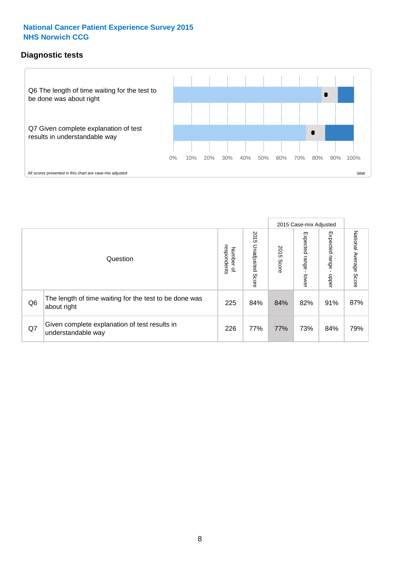#### **Diagnostic tests**



|                |                                                                       |                                       |                             |               | 2015 Case-mix Adjusted       |                         |                           |
|----------------|-----------------------------------------------------------------------|---------------------------------------|-----------------------------|---------------|------------------------------|-------------------------|---------------------------|
|                | Question                                                              | respondents<br>Number<br>$\mathbf{Q}$ | 2015<br>Unadjusted<br>Score | 2015<br>Score | Expected<br>I range<br>lower | Expected range<br>nbber | National Average<br>Score |
| Q <sub>6</sub> | The length of time waiting for the test to be done was<br>about right | 225                                   | 84%                         | 84%           | 82%                          | 91%                     | 87%                       |
| Q7             | Given complete explanation of test results in<br>understandable way   | 226                                   | 77%                         | 77%           | 73%                          | 84%                     | 79%                       |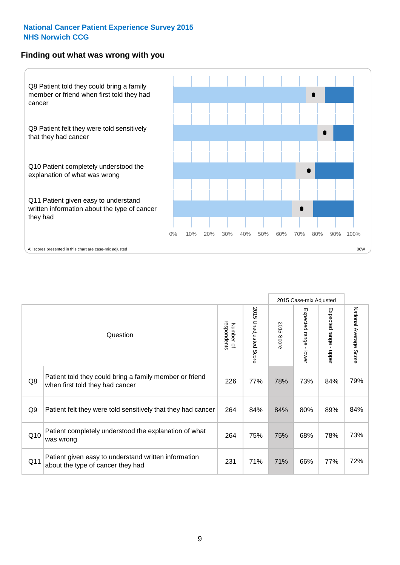#### **Finding out what was wrong with you**



Number of respondents Question

|                | Question                                                                                   | respondents<br>Number of | 2015 Unadjusted Score | 2015<br>Score | Expected range<br>lower | Expected range<br>$\blacksquare$<br>nbber | National Average Score |
|----------------|--------------------------------------------------------------------------------------------|--------------------------|-----------------------|---------------|-------------------------|-------------------------------------------|------------------------|
| Q8             | Patient told they could bring a family member or friend<br>when first told they had cancer | 226                      | 77%                   | 78%           | 73%                     | 84%                                       | 79%                    |
| Q <sub>9</sub> | Patient felt they were told sensitively that they had cancer                               | 264                      | 84%                   | 84%           | 80%                     | 89%                                       | 84%                    |
| Q10            | Patient completely understood the explanation of what<br>was wrong                         | 264                      | 75%                   | 75%           | 68%                     | 78%                                       | 73%                    |
| Q11            | Patient given easy to understand written information<br>about the type of cancer they had  | 231                      | 71%                   | 71%           | 66%                     | 77%                                       | 72%                    |

2015 Case-mix Adjusted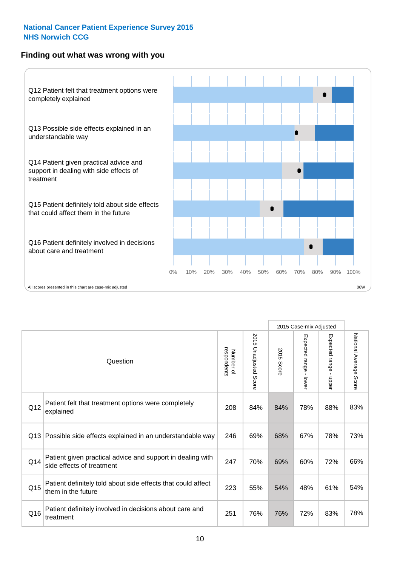#### **Finding out what was wrong with you**



|     |                                                                                         |                          |                          |               | 2015 Case-mix Adjusted                  |                           |                        |
|-----|-----------------------------------------------------------------------------------------|--------------------------|--------------------------|---------------|-----------------------------------------|---------------------------|------------------------|
|     | Question                                                                                | Number of<br>respondents | 2015<br>Unadjusted Score | 2015<br>Score | Expected range<br>$\mathbf{I}$<br>lower | Expected range -<br>nbber | National Average Score |
| Q12 | Patient felt that treatment options were completely<br>explained                        | 208                      | 84%                      | 84%           | 78%                                     | 88%                       | 83%                    |
| Q13 | Possible side effects explained in an understandable way                                | 246                      | 69%                      | 68%           | 67%                                     | 78%                       | 73%                    |
| Q14 | Patient given practical advice and support in dealing with<br>side effects of treatment | 247                      | 70%                      | 69%           | 60%                                     | 72%                       | 66%                    |
| Q15 | Patient definitely told about side effects that could affect<br>them in the future      | 223                      | 55%                      | 54%           | 48%                                     | 61%                       | 54%                    |
| Q16 | Patient definitely involved in decisions about care and<br>treatment                    | 251                      | 76%                      | 76%           | 72%                                     | 83%                       | 78%                    |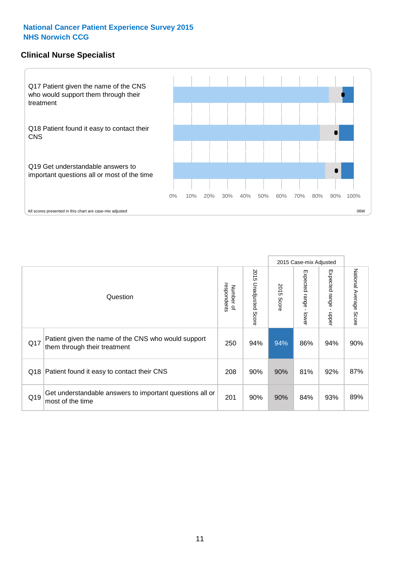#### **Clinical Nurse Specialist**



|     |                                                                                     |                          |                       |               | 2015 Case-mix Adjusted  |                         |                                  |
|-----|-------------------------------------------------------------------------------------|--------------------------|-----------------------|---------------|-------------------------|-------------------------|----------------------------------|
|     | Question                                                                            | Number of<br>respondents | 2015 Unadjusted Score | 2015<br>Score | Expected range<br>lower | Expected range<br>nbber | National Average<br><b>Score</b> |
| Q17 | Patient given the name of the CNS who would support<br>them through their treatment | 250                      | 94%                   | 94%           | 86%                     | 94%                     | 90%                              |
| Q18 | Patient found it easy to contact their CNS                                          | 208                      | 90%                   | 90%           | 81%                     | 92%                     | 87%                              |
| Q19 | Get understandable answers to important questions all or<br>most of the time        | 201                      | 90%                   | 90%           | 84%                     | 93%                     | 89%                              |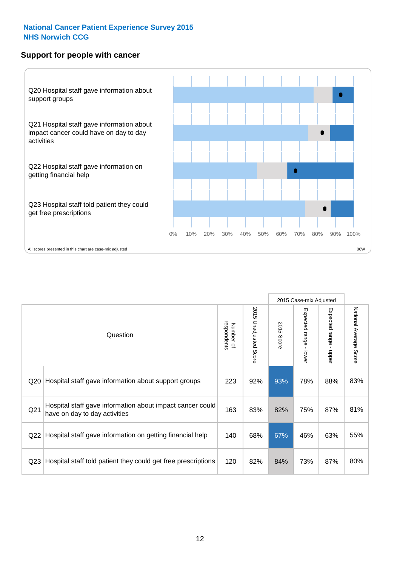#### **Support for people with cancer**



|                 |                                                                                            |                          |                                 |                      | 2015 Case-mix Adjusted  |                                           |                        |
|-----------------|--------------------------------------------------------------------------------------------|--------------------------|---------------------------------|----------------------|-------------------------|-------------------------------------------|------------------------|
|                 | Question                                                                                   | respondents<br>Number of | 2015<br><b>Unadjusted Score</b> | 2015<br><b>Score</b> | Expected range<br>lower | Expected range<br>$\blacksquare$<br>nbber | National Average Score |
| Q <sub>20</sub> | Hospital staff gave information about support groups                                       | 223                      | 92%                             | 93%                  | 78%                     | 88%                                       | 83%                    |
| Q <sub>21</sub> | Hospital staff gave information about impact cancer could<br>have on day to day activities | 163                      | 83%                             | 82%                  | 75%                     | 87%                                       | 81%                    |
| Q <sub>22</sub> | Hospital staff gave information on getting financial help                                  | 140                      | 68%                             | 67%                  | 46%                     | 63%                                       | 55%                    |
| Q <sub>23</sub> | Hospital staff told patient they could get free prescriptions                              | 120                      | 82%                             | 84%                  | 73%                     | 87%                                       | 80%                    |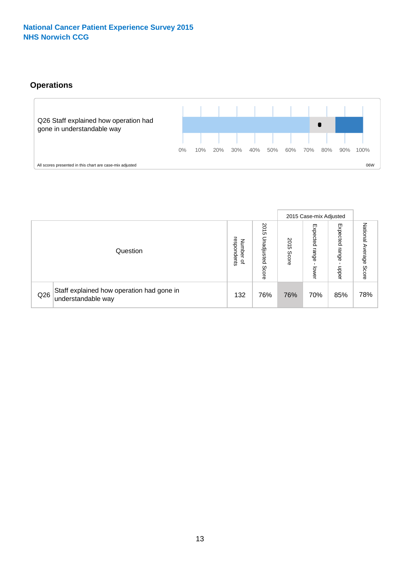#### **Operations**



|     |                                                                 |                                              |                             |               | 2015 Case-mix Adjusted     |                           |                              |
|-----|-----------------------------------------------------------------|----------------------------------------------|-----------------------------|---------------|----------------------------|---------------------------|------------------------------|
|     | Question                                                        | respondents<br>Number<br>$\overline{\sigma}$ | 2015<br>Unadjusted<br>Score | 2015<br>Score | Expected<br>range<br>lower | Expected<br>range<br>dddn | National<br>Average<br>Score |
| Q26 | Staff explained how operation had gone in<br>understandable way | 132                                          | 76%                         | 76%           | 70%                        | 85%                       | 78%                          |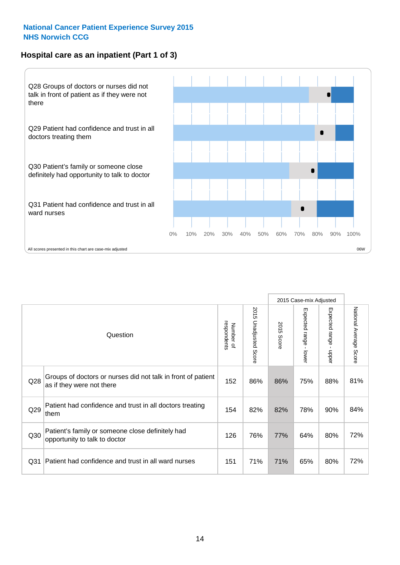#### **Hospital care as an inpatient (Part 1 of 3)**



All scores presented in this chart are case-mix adjusted  $06W$ 

|                 |                                                                                           |                          |                       |               | 2015 Case-mix Adjusted                  |                                           |                        |
|-----------------|-------------------------------------------------------------------------------------------|--------------------------|-----------------------|---------------|-----------------------------------------|-------------------------------------------|------------------------|
|                 | Question                                                                                  | respondents<br>Number of | 2015 Unadjusted Score | 2015<br>Score | Expected range<br>$\mathbf{r}$<br>lower | Expected range<br>$\blacksquare$<br>nbber | National Average Score |
| Q28             | Groups of doctors or nurses did not talk in front of patient<br>as if they were not there | 152                      | 86%                   | 86%           | 75%                                     | 88%                                       | 81%                    |
| Q29             | Patient had confidence and trust in all doctors treating<br>them                          | 154                      | 82%                   | 82%           | 78%                                     | 90%                                       | 84%                    |
| Q30             | Patient's family or someone close definitely had<br>opportunity to talk to doctor         | 126                      | 76%                   | 77%           | 64%                                     | 80%                                       | 72%                    |
| Q <sub>31</sub> | Patient had confidence and trust in all ward nurses                                       | 151                      | 71%                   | 71%           | 65%                                     | 80%                                       | 72%                    |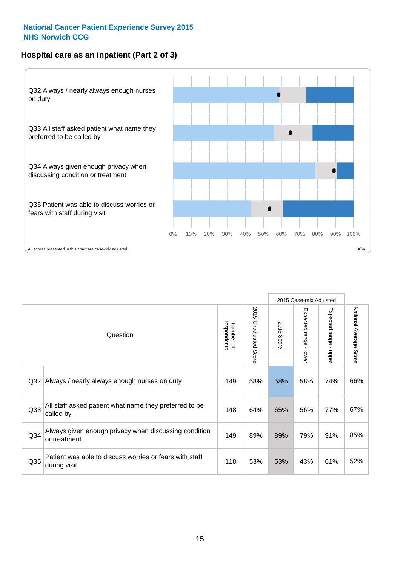#### **Hospital care as an inpatient (Part 2 of 3)**



|                 |                                                                         |                          |                       |               | 2015 Case-mix Adjusted      |                                           |                        |
|-----------------|-------------------------------------------------------------------------|--------------------------|-----------------------|---------------|-----------------------------|-------------------------------------------|------------------------|
|                 | Question                                                                | respondents<br>Number of | 2015 Unadjusted Score | 2015<br>Score | Expected range -<br>- lower | Expected range<br>$\blacksquare$<br>nbber | National Average Score |
| Q <sub>32</sub> | Always / nearly always enough nurses on duty                            | 149                      | 58%                   | 58%           | 58%                         | 74%                                       | 66%                    |
| Q <sub>33</sub> | All staff asked patient what name they preferred to be<br>called by     | 148                      | 64%                   | 65%           | 56%                         | 77%                                       | 67%                    |
| Q <sub>34</sub> | Always given enough privacy when discussing condition<br>or treatment   | 149                      | 89%                   | 89%           | 79%                         | 91%                                       | 85%                    |
| Q35             | Patient was able to discuss worries or fears with staff<br>during visit | 118                      | 53%                   | 53%           | 43%                         | 61%                                       | 52%                    |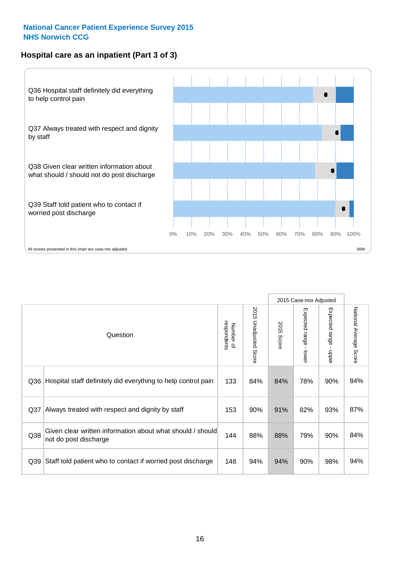#### **Hospital care as an inpatient (Part 3 of 3)**



|                 |                                                                                     |                          |                                 |                      | 2015 Case-mix Adjusted                    |                           |                        |
|-----------------|-------------------------------------------------------------------------------------|--------------------------|---------------------------------|----------------------|-------------------------------------------|---------------------------|------------------------|
|                 | Question                                                                            | respondents<br>Number of | 2015<br><b>Unadjusted Score</b> | 2015<br><b>Score</b> | Expected range<br>$\blacksquare$<br>lower | Expected range -<br>nbber | National Average Score |
| Q36             | Hospital staff definitely did everything to help control pain                       | 133                      | 84%                             | 84%                  | 78%                                       | 90%                       | 84%                    |
| Q <sub>37</sub> | Always treated with respect and dignity by staff                                    | 153                      | 90%                             | 91%                  | 82%                                       | 93%                       | 87%                    |
| Q38             | Given clear written information about what should / should<br>not do post discharge | 144                      | 88%                             | 88%                  | 79%                                       | 90%                       | 84%                    |
| Q <sub>39</sub> | Staff told patient who to contact if worried post discharge                         | 148                      | 94%                             | 94%                  | 90%                                       | 98%                       | 94%                    |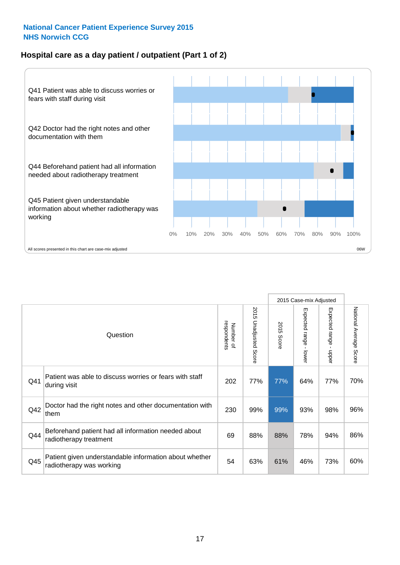#### **Hospital care as a day patient / outpatient (Part 1 of 2)**



|     |                                                                                    |                          |                                 |               | 2015 Case-mix Adjusted                    |                                           |                        |
|-----|------------------------------------------------------------------------------------|--------------------------|---------------------------------|---------------|-------------------------------------------|-------------------------------------------|------------------------|
|     | Question                                                                           | respondents<br>Number of | 2015<br><b>Unadjusted Score</b> | 2015<br>Score | Expected range<br>$\blacksquare$<br>lower | Expected range<br>$\blacksquare$<br>nbber | National Average Score |
| Q41 | Patient was able to discuss worries or fears with staff<br>during visit            | 202                      | 77%                             | 77%           | 64%                                       | 77%                                       | 70%                    |
| Q42 | Doctor had the right notes and other documentation with<br>them                    | 230                      | 99%                             | 99%           | 93%                                       | 98%                                       | 96%                    |
| Q44 | Beforehand patient had all information needed about<br>radiotherapy treatment      | 69                       | 88%                             | 88%           | 78%                                       | 94%                                       | 86%                    |
| Q45 | Patient given understandable information about whether<br>radiotherapy was working | 54                       | 63%                             | 61%           | 46%                                       | 73%                                       | 60%                    |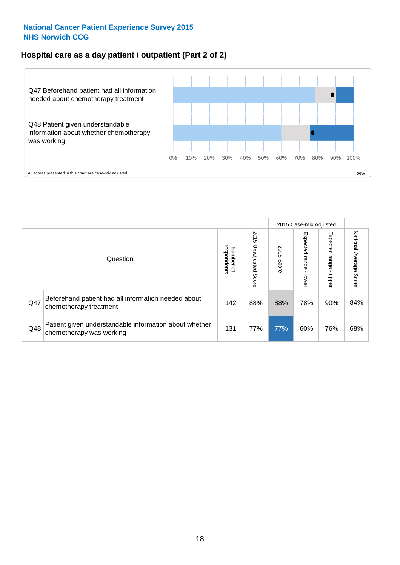#### **Hospital care as a day patient / outpatient (Part 2 of 2)**



|     |                                                                                    |                             |                             |               |                                   | 2015 Case-mix Adjusted  |                           |
|-----|------------------------------------------------------------------------------------|-----------------------------|-----------------------------|---------------|-----------------------------------|-------------------------|---------------------------|
|     | Question                                                                           | respondents<br>Number<br>டி | 2015<br>Unadjusted<br>Score | 2015<br>Score | Expected<br><b>Lange</b><br>lower | Expected range<br>doper | National Average<br>Score |
| Q47 | Beforehand patient had all information needed about<br>chemotherapy treatment      | 142                         | 88%                         | 88%           | 78%                               | 90%                     | 84%                       |
| Q48 | Patient given understandable information about whether<br>chemotherapy was working | 131                         | 77%                         | 77%           | 60%                               | 76%                     | 68%                       |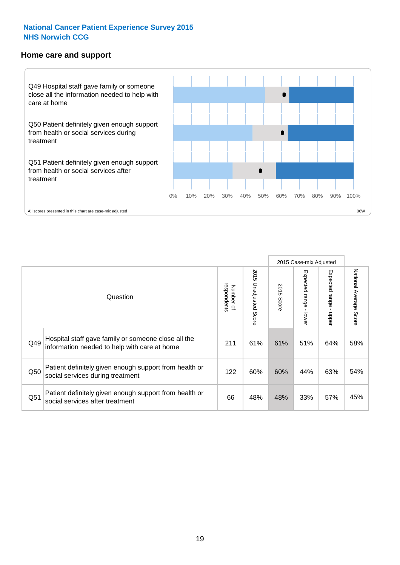#### **Home care and support**



2015 Case-mix Adjusted 2015 Unadjusted Score Expected range - upper National Average Score 2015 Unadjusted Score Expected range - lower National Average Score Expected range - lower Expected range - upper Number of<br>respondents 2015 Score respondents 2015 Score Number of Question Hospital staff gave family or someone close all the  $Q49$  information needed to help with care at home  $211$  61% 61% 51% 64% 58% Patient definitely given enough support from health or Q50 social services during treatment 122 | 60% 60% 44% 63% 54% Patient definitely given enough support from health or  $\frac{33\%}{\%}$  social services after treatment  $\frac{33\%}{\%}$  +  $\frac{33\%}{\%}$  57%  $\frac{33\%}{\%}$  57%  $\frac{45\%}{\%}$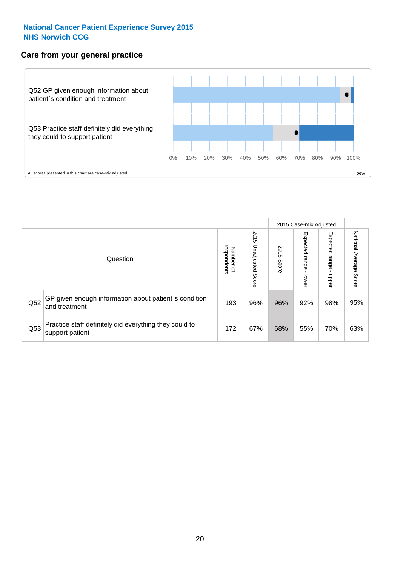#### **Care from your general practice**



|     |                                                                           |                                       |                             |               |                             | 2015 Case-mix Adjusted     |                           |
|-----|---------------------------------------------------------------------------|---------------------------------------|-----------------------------|---------------|-----------------------------|----------------------------|---------------------------|
|     | Question                                                                  | respondents<br>Number<br>$\mathbf{Q}$ | 2015<br>Unadjusted<br>Score | 2015<br>Score | Expected<br>Irange<br>lower | Expected<br>range<br>doper | National Average<br>Score |
| Q52 | GP given enough information about patient's condition<br>and treatment    | 193                                   | 96%                         | 96%           | 92%                         | 98%                        | 95%                       |
| Q53 | Practice staff definitely did everything they could to<br>support patient | 172                                   | 67%                         | 68%           | 55%                         | 70%                        | 63%                       |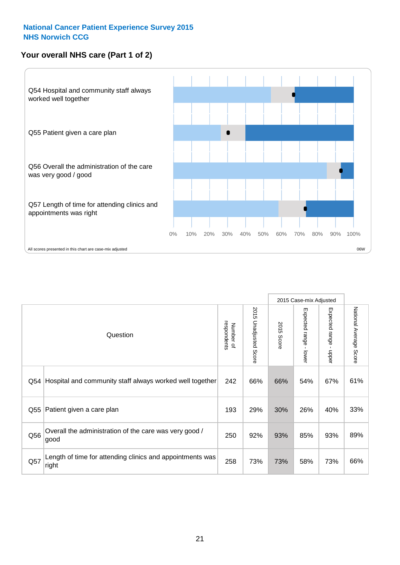#### **Your overall NHS care (Part 1 of 2)**



|     |                                                                    |                          |                                 |                      | 2015 Case-mix Adjusted  |                                           |                        |
|-----|--------------------------------------------------------------------|--------------------------|---------------------------------|----------------------|-------------------------|-------------------------------------------|------------------------|
|     | Question                                                           | respondents<br>Number of | 2015<br><b>Unadjusted Score</b> | 2015<br><b>Score</b> | Expected range<br>lower | Expected range<br>$\blacksquare$<br>nbber | National Average Score |
| Q54 | Hospital and community staff always worked well together           | 242                      | 66%                             | 66%                  | 54%                     | 67%                                       | 61%                    |
| Q55 | Patient given a care plan                                          | 193                      | 29%                             | 30%                  | 26%                     | 40%                                       | 33%                    |
| Q56 | Overall the administration of the care was very good /<br>good     | 250                      | 92%                             | 93%                  | 85%                     | 93%                                       | 89%                    |
| Q57 | Length of time for attending clinics and appointments was<br>right | 258                      | 73%                             | 73%                  | 58%                     | 73%                                       | 66%                    |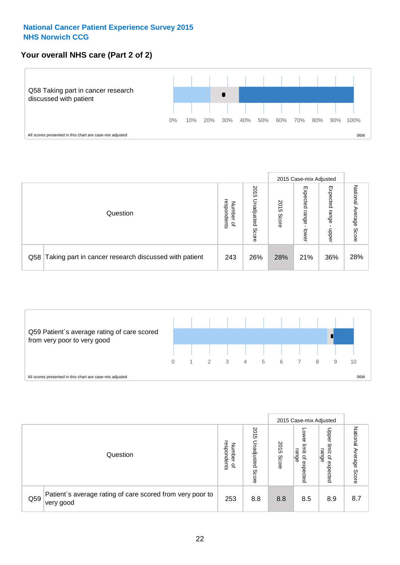#### **Your overall NHS care (Part 2 of 2)**



|     |                                                       |                                              |                             |               |                            | 2015 Case-mix Adjusted     |                        |
|-----|-------------------------------------------------------|----------------------------------------------|-----------------------------|---------------|----------------------------|----------------------------|------------------------|
|     | Question                                              | respondents<br>Number<br>$\overline{\sigma}$ | 2015<br>Unadjusted<br>Score | 2015<br>Score | Expected<br>range<br>lower | Expected<br>range<br>doper | National Average Score |
| Q58 | Taking part in cancer research discussed with patient | 243                                          | 26%                         | 28%           | 21%                        | 36%                        | 28%                    |



|     |                                                                        |                                   |                             |               |                                                           | 2015 Case-mix Adjusted                                |                              |
|-----|------------------------------------------------------------------------|-----------------------------------|-----------------------------|---------------|-----------------------------------------------------------|-------------------------------------------------------|------------------------------|
|     | Question                                                               | respondents<br>Number<br>$\Omega$ | 2015<br>Inadjusted<br>Score | 2015<br>Score | OWer<br>limit<br>range<br>$\overline{\sigma}$<br>expected | Upper<br>limit<br>range<br>$\overline{a}$<br>expected | National<br>Average<br>Score |
| Q59 | Patient's average rating of care scored from very poor to<br>very good | 253                               | 8.8                         | 8.8           | 8.5                                                       | 8.9                                                   | 8.7                          |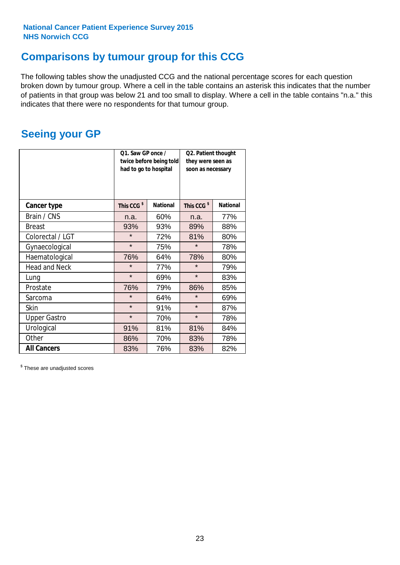### **Comparisons by tumour group for this CCG**

The following tables show the unadjusted CCG and the national percentage scores for each question broken down by tumour group. Where a cell in the table contains an asterisk this indicates that the number of patients in that group was below 21 and too small to display. Where a cell in the table contains "n.a." this indicates that there were no respondents for that tumour group.

### **Seeing your GP**

|                      | Q1. Saw GP once /<br>had to go to hospital | twice before being told | Q2. Patient thought<br>they were seen as<br>soon as necessary |                 |  |
|----------------------|--------------------------------------------|-------------------------|---------------------------------------------------------------|-----------------|--|
| <b>Cancer type</b>   | This CCG <sup>\$</sup>                     | <b>National</b>         | This CCG <sup>\$</sup>                                        | <b>National</b> |  |
| Brain / CNS          | n.a.                                       | 60%                     | n.a.                                                          | 77%             |  |
| <b>Breast</b>        | 93%                                        | 93%                     | 89%                                                           | 88%             |  |
| Colorectal / LGT     | $\star$                                    | 72%                     | 81%                                                           | 80%             |  |
| Gynaecological       | $\star$                                    | 75%                     | $\star$                                                       | 78%             |  |
| Haematological       | 76%                                        | 64%                     | 78%                                                           | 80%             |  |
| <b>Head and Neck</b> | $\star$                                    | 77%                     | $\star$                                                       | 79%             |  |
| Lung                 | $\star$                                    | 69%                     | $\star$                                                       | 83%             |  |
| Prostate             | 76%                                        | 79%                     | 86%                                                           | 85%             |  |
| Sarcoma              | $\star$                                    | 64%                     | $\star$                                                       | 69%             |  |
| <b>Skin</b>          | $\star$                                    | 91%                     | $\star$                                                       | 87%             |  |
| <b>Upper Gastro</b>  | $\star$                                    | 70%                     | $\star$                                                       | 78%             |  |
| Urological           | 91%                                        | 81%                     | 81%                                                           | 84%             |  |
| Other                | 86%                                        | 70%                     | 83%                                                           | 78%             |  |
| <b>All Cancers</b>   | 83%                                        | 76%                     | 83%                                                           | 82%             |  |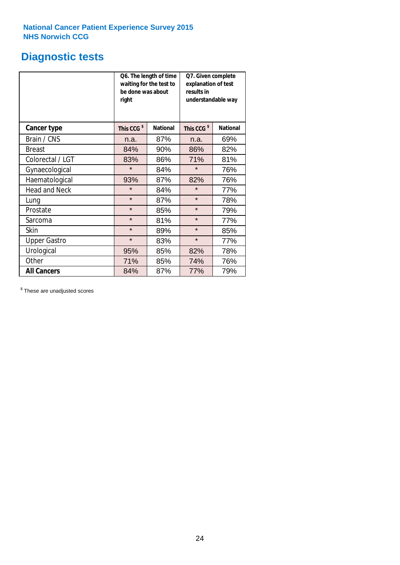### **Diagnostic tests**

|                      | be done was about<br>right | Q6. The length of time<br>waiting for the test to | Q7. Given complete<br>explanation of test<br>results in<br>understandable way |                 |  |
|----------------------|----------------------------|---------------------------------------------------|-------------------------------------------------------------------------------|-----------------|--|
| <b>Cancer type</b>   | This CCG <sup>\$</sup>     | <b>National</b>                                   | This CCG <sup>\$</sup>                                                        | <b>National</b> |  |
| Brain / CNS          | n.a.                       | 87%                                               | n.a.                                                                          | 69%             |  |
| <b>Breast</b>        | 84%                        | 90%                                               | 86%                                                                           | 82%             |  |
| Colorectal / LGT     | 83%                        | 86%                                               | 71%                                                                           | 81%             |  |
| Gynaecological       | $\star$                    | 84%                                               | $\star$                                                                       | 76%             |  |
| Haematological       | 93%                        | 87%                                               | 82%                                                                           | 76%             |  |
| <b>Head and Neck</b> | $\star$                    | 84%                                               | $\star$                                                                       | 77%             |  |
| Lung                 | $\star$                    | 87%                                               | $\star$                                                                       | 78%             |  |
| Prostate             | $\star$                    | 85%                                               | $\star$                                                                       | 79%             |  |
| Sarcoma              | $\star$                    | 81%                                               | $\star$                                                                       | 77%             |  |
| Skin                 | $\star$                    | 89%                                               | $\star$                                                                       | 85%             |  |
| <b>Upper Gastro</b>  | $\star$                    | 83%                                               | $\star$                                                                       | 77%             |  |
| Urological           | 95%                        | 85%                                               | 82%                                                                           | 78%             |  |
| Other                | 71%                        | 85%                                               | 74%                                                                           | 76%             |  |
| <b>All Cancers</b>   | 84%                        | 87%                                               | 77%                                                                           | 79%             |  |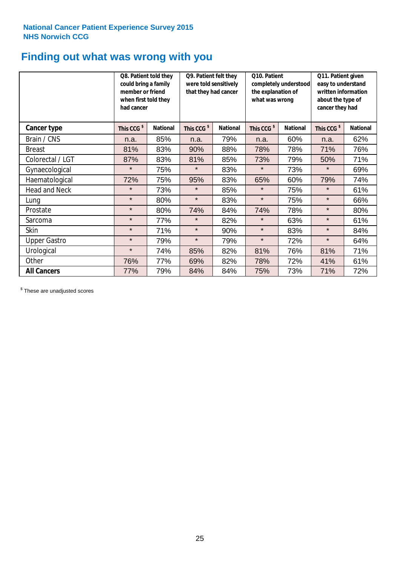### **Finding out what was wrong with you**

|                     | Q8. Patient told they<br>could bring a family<br>member or friend<br>when first told they<br>had cancer |                 | Q9. Patient felt they<br>were told sensitively<br>that they had cancer |                 | Q10. Patient<br>completely understood<br>the explanation of<br>what was wrong |                 | Q11. Patient given<br>easy to understand<br>written information<br>about the type of<br>cancer they had |                 |
|---------------------|---------------------------------------------------------------------------------------------------------|-----------------|------------------------------------------------------------------------|-----------------|-------------------------------------------------------------------------------|-----------------|---------------------------------------------------------------------------------------------------------|-----------------|
| Cancer type         | This CCG <sup>\$</sup>                                                                                  | <b>National</b> | This CCG <sup>\$</sup>                                                 | <b>National</b> | This CCG <sup>\$</sup>                                                        | <b>National</b> | This CCG <sup>\$</sup>                                                                                  | <b>National</b> |
| Brain / CNS         | n.a.                                                                                                    | 85%             | n.a.                                                                   | 79%             | n.a.                                                                          | 60%             | n.a.                                                                                                    | 62%             |
| <b>Breast</b>       | 81%                                                                                                     | 83%             | 90%                                                                    | 88%             | 78%                                                                           | 78%             | 71%                                                                                                     | 76%             |
| Colorectal / LGT    | 87%                                                                                                     | 83%             | 81%                                                                    | 85%             | 73%                                                                           | 79%             | 50%                                                                                                     | 71%             |
| Gynaecological      | $\star$                                                                                                 | 75%             | $\star$                                                                | 83%             | $\star$                                                                       | 73%             | $\star$                                                                                                 | 69%             |
| Haematological      | 72%                                                                                                     | 75%             | 95%                                                                    | 83%             | 65%                                                                           | 60%             | 79%                                                                                                     | 74%             |
| Head and Neck       | $\star$                                                                                                 | 73%             | $\star$                                                                | 85%             | $\star$                                                                       | 75%             | $\star$                                                                                                 | 61%             |
| Lung                | $\star$                                                                                                 | 80%             | $\star$                                                                | 83%             | $\star$                                                                       | 75%             | $\star$                                                                                                 | 66%             |
| Prostate            | $\star$                                                                                                 | 80%             | 74%                                                                    | 84%             | 74%                                                                           | 78%             | $\star$                                                                                                 | 80%             |
| Sarcoma             | $\star$                                                                                                 | 77%             | $\star$                                                                | 82%             | $\star$                                                                       | 63%             | $\star$                                                                                                 | 61%             |
| Skin                | $\star$                                                                                                 | 71%             | $\star$                                                                | 90%             | $\star$                                                                       | 83%             | $\star$                                                                                                 | 84%             |
| <b>Upper Gastro</b> | $\star$                                                                                                 | 79%             | $\star$                                                                | 79%             | $\star$                                                                       | 72%             | $\star$                                                                                                 | 64%             |
| Urological          | $\star$                                                                                                 | 74%             | 85%                                                                    | 82%             | 81%                                                                           | 76%             | 81%                                                                                                     | 71%             |
| Other               | 76%                                                                                                     | 77%             | 69%                                                                    | 82%             | 78%                                                                           | 72%             | 41%                                                                                                     | 61%             |
| <b>All Cancers</b>  | 77%                                                                                                     | 79%             | 84%                                                                    | 84%             | 75%                                                                           | 73%             | 71%                                                                                                     | 72%             |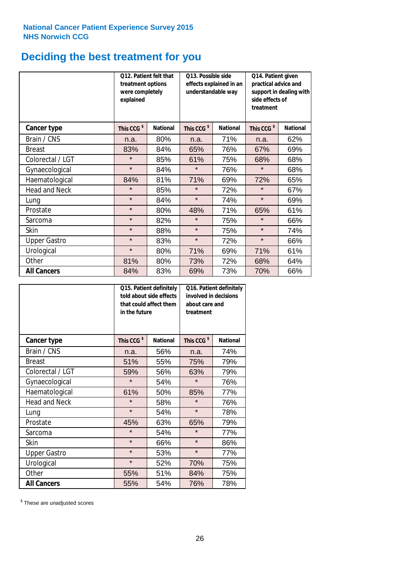# **Deciding the best treatment for you**

|                      | 012. Patient felt that<br>treatment options<br>were completely<br>explained |                 | O13. Possible side<br>understandable way | effects explained in an | Q14. Patient given<br>practical advice and<br>support in dealing with<br>side effects of<br>treatment |                 |  |
|----------------------|-----------------------------------------------------------------------------|-----------------|------------------------------------------|-------------------------|-------------------------------------------------------------------------------------------------------|-----------------|--|
| <b>Cancer type</b>   | This CCG <sup>\$</sup>                                                      | <b>National</b> | This CCG <sup>\$</sup>                   | <b>National</b>         | This CCG <sup>\$</sup>                                                                                | <b>National</b> |  |
| Brain / CNS          | n.a.                                                                        | 80%             | n.a.                                     | 71%                     | n.a.                                                                                                  | 62%             |  |
| <b>Breast</b>        | 83%                                                                         | 84%             | 65%                                      | 76%                     | 67%                                                                                                   | 69%             |  |
| Colorectal / LGT     | $\star$                                                                     | 85%             | 61%                                      | 75%                     | 68%                                                                                                   | 68%             |  |
| Gynaecological       | $\star$                                                                     | 84%             | $\star$                                  | 76%                     | $\star$                                                                                               | 68%             |  |
| Haematological       | 84%                                                                         | 81%             | 71%                                      | 69%                     | 72%                                                                                                   | 65%             |  |
| <b>Head and Neck</b> | $\star$                                                                     | 85%             | $\star$                                  | 72%                     | $\star$                                                                                               | 67%             |  |
| Lung                 | $\star$                                                                     | 84%             | $\star$                                  | 74%                     | $\star$                                                                                               | 69%             |  |
| Prostate             | $\star$                                                                     | 80%             | 48%                                      | 71%                     | 65%                                                                                                   | 61%             |  |
| Sarcoma              | $\star$                                                                     | 82%             | $\star$                                  | 75%                     | $\star$                                                                                               | 66%             |  |
| Skin                 | $\star$                                                                     | 88%             | $\star$                                  | 75%                     | $\star$                                                                                               | 74%             |  |
| <b>Upper Gastro</b>  | $\star$                                                                     | 83%             | $\star$                                  | 72%                     | $\star$                                                                                               | 66%             |  |
| Urological           | $\star$                                                                     | 80%             | 71%                                      | 69%                     | 71%                                                                                                   | 61%             |  |
| Other                | 81%                                                                         | 80%             | 73%                                      | 72%                     | 68%                                                                                                   | 64%             |  |
| <b>All Cancers</b>   | 84%                                                                         | 83%             | 69%                                      | 73%                     | 70%                                                                                                   | 66%             |  |

|                      | in the future          | Q15. Patient definitely<br>told about side effects<br>that could affect them | Q16. Patient definitely<br>involved in decisions<br>about care and<br>treatment |                 |  |
|----------------------|------------------------|------------------------------------------------------------------------------|---------------------------------------------------------------------------------|-----------------|--|
| <b>Cancer type</b>   | This CCG <sup>\$</sup> | <b>National</b>                                                              | This CCG <sup>\$</sup>                                                          | <b>National</b> |  |
| Brain / CNS          | n.a.                   | 56%                                                                          | n.a.                                                                            | 74%             |  |
| <b>Breast</b>        | 51%                    | 55%                                                                          | 75%                                                                             | 79%             |  |
| Colorectal / LGT     | 59%                    | 56%                                                                          | 63%                                                                             | 79%             |  |
| Gynaecological       | $\star$<br>54%         |                                                                              | $\star$                                                                         | 76%             |  |
| Haematological       | 61%<br>50%             |                                                                              | 85%                                                                             | 77%             |  |
| <b>Head and Neck</b> | $\star$                | 58%                                                                          | $\star$                                                                         | 76%             |  |
| Lung                 | $\star$                | 54%                                                                          | $\star$                                                                         | 78%             |  |
| Prostate             | 45%                    | 63%                                                                          | 65%                                                                             | 79%             |  |
| Sarcoma              | $\star$                | 54%                                                                          | $\star$                                                                         | 77%             |  |
| Skin                 | $\star$                | 66%                                                                          | $\star$                                                                         | 86%             |  |
| <b>Upper Gastro</b>  | $\star$                | 53%                                                                          | $\star$                                                                         | 77%             |  |
| Urological           | $\star$                | 52%                                                                          | 70%                                                                             | 75%             |  |
| Other                | 55%                    | 51%                                                                          | 84%                                                                             | 75%             |  |
| <b>All Cancers</b>   | 55%                    | 54%                                                                          | 76%                                                                             | 78%             |  |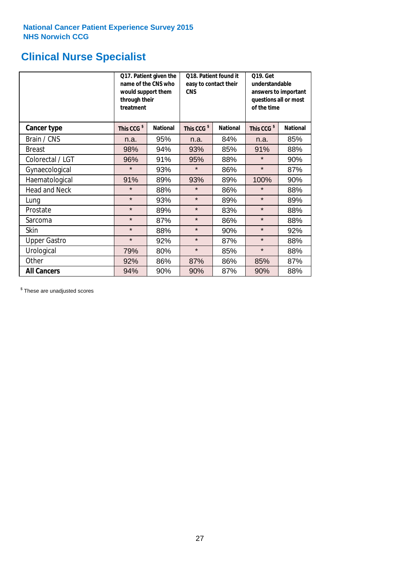### **Clinical Nurse Specialist**

|                      | would support them<br>through their<br>treatment | Q17. Patient given the<br>name of the CNS who | Q18. Patient found it<br>easy to contact their<br><b>CNS</b> |                 | <b>Q19. Get</b><br>understandable<br>answers to important<br>questions all or most<br>of the time |                 |  |
|----------------------|--------------------------------------------------|-----------------------------------------------|--------------------------------------------------------------|-----------------|---------------------------------------------------------------------------------------------------|-----------------|--|
| <b>Cancer type</b>   | This CCG <sup>\$</sup>                           | <b>National</b>                               | This CCG <sup>\$</sup>                                       | <b>National</b> | This CCG <sup>\$</sup>                                                                            | <b>National</b> |  |
| Brain / CNS          | n.a.                                             | 95%                                           | n.a.                                                         | 84%             | n.a.                                                                                              | 85%             |  |
| <b>Breast</b>        | 98%                                              | 94%                                           | 93%                                                          | 85%             | 91%                                                                                               | 88%             |  |
| Colorectal / LGT     | 96%                                              | 91%                                           | 95%                                                          | 88%             | $\star$                                                                                           | 90%             |  |
| Gynaecological       | $\star$                                          | 93%                                           | $\star$                                                      | 86%             | $\star$                                                                                           | 87%             |  |
| Haematological       | 91%                                              | 89%                                           | 93%                                                          | 89%             | 100%                                                                                              | 90%             |  |
| <b>Head and Neck</b> | $\star$                                          | 88%                                           | $\star$                                                      | 86%             | $\star$                                                                                           | 88%             |  |
| Lung                 | $\star$                                          | 93%                                           | $\star$                                                      | 89%             | $\star$                                                                                           | 89%             |  |
| Prostate             | $\star$                                          | 89%                                           | $\star$                                                      | 83%             | $\star$                                                                                           | 88%             |  |
| Sarcoma              | $\star$                                          | 87%                                           | $\star$                                                      | 86%             | $\star$                                                                                           | 88%             |  |
| Skin                 | $\star$                                          | 88%                                           | $\star$                                                      | 90%             | $\star$                                                                                           | 92%             |  |
| <b>Upper Gastro</b>  | $\star$                                          | 92%                                           | $\star$                                                      | 87%             | $\star$                                                                                           | 88%             |  |
| Urological           | 79%                                              | 80%                                           | $\star$                                                      | 85%             | $\star$                                                                                           | 88%             |  |
| Other                | 92%                                              | 86%                                           | 87%                                                          | 86%             | 85%                                                                                               | 87%             |  |
| <b>All Cancers</b>   | 94%                                              | 90%                                           | 90%                                                          | 87%             | 90%                                                                                               | 88%             |  |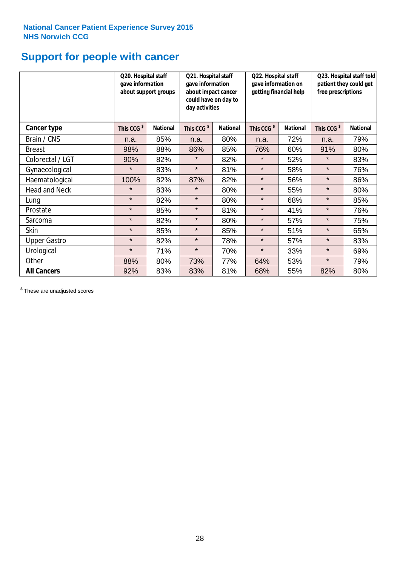# **Support for people with cancer**

|                      |                        | Q21. Hospital staff<br>Q20. Hospital staff<br>gave information<br>gave information<br>about support groups<br>about impact cancer<br>could have on day to<br>day activities |                        |                 | Q22. Hospital staff<br>gave information on<br>getting financial help |                 | Q23. Hospital staff told<br>patient they could get<br>free prescriptions |                 |
|----------------------|------------------------|-----------------------------------------------------------------------------------------------------------------------------------------------------------------------------|------------------------|-----------------|----------------------------------------------------------------------|-----------------|--------------------------------------------------------------------------|-----------------|
| Cancer type          | This CCG <sup>\$</sup> | <b>National</b>                                                                                                                                                             | This CCG <sup>\$</sup> | <b>National</b> | This CCG <sup>\$</sup>                                               | <b>National</b> | This CCG <sup>\$</sup>                                                   | <b>National</b> |
| Brain / CNS          | n.a.                   | 85%                                                                                                                                                                         | n.a.                   | 80%             | n.a.                                                                 | 72%             | n.a.                                                                     | 79%             |
| <b>Breast</b>        | 98%                    | 88%                                                                                                                                                                         | 86%                    | 85%             | 76%                                                                  | 60%             | 91%                                                                      | 80%             |
| Colorectal / LGT     | 90%                    | 82%                                                                                                                                                                         | $\star$                | 82%             | $\star$                                                              | 52%             | $\star$                                                                  | 83%             |
| Gynaecological       | $\star$                | 83%                                                                                                                                                                         | $\star$                | 81%             | $\star$                                                              | 58%             | $\star$                                                                  | 76%             |
| Haematological       | 100%                   | 82%                                                                                                                                                                         | 87%                    | 82%             | $\star$                                                              | 56%             | $\star$                                                                  | 86%             |
| <b>Head and Neck</b> | $\star$                | 83%                                                                                                                                                                         | $\star$                | 80%             | $\star$                                                              | 55%             | $\star$                                                                  | 80%             |
| Lung                 | $\star$                | 82%                                                                                                                                                                         | $\star$                | 80%             | $\star$                                                              | 68%             | $\star$                                                                  | 85%             |
| Prostate             | $\star$                | 85%                                                                                                                                                                         | $\star$                | 81%             | $\star$                                                              | 41%             | $\star$                                                                  | 76%             |
| Sarcoma              | $\star$                | 82%                                                                                                                                                                         | $\star$                | 80%             | $\star$                                                              | 57%             | $\star$                                                                  | 75%             |
| Skin                 | $\star$                | 85%                                                                                                                                                                         | $\star$                | 85%             | $\star$                                                              | 51%             | $\star$                                                                  | 65%             |
| <b>Upper Gastro</b>  | $\star$                | 82%                                                                                                                                                                         | $\star$                | 78%             | $\star$                                                              | 57%             | $\star$                                                                  | 83%             |
| Urological           | $\star$                | 71%                                                                                                                                                                         | $\star$                | 70%             | $\star$                                                              | 33%             | $\star$                                                                  | 69%             |
| Other                | 88%                    | 80%                                                                                                                                                                         | 73%                    | 77%             | 64%                                                                  | 53%             | $\star$                                                                  | 79%             |
| <b>All Cancers</b>   | 92%                    | 83%                                                                                                                                                                         | 83%                    | 81%             | 68%                                                                  | 55%             | 82%                                                                      | 80%             |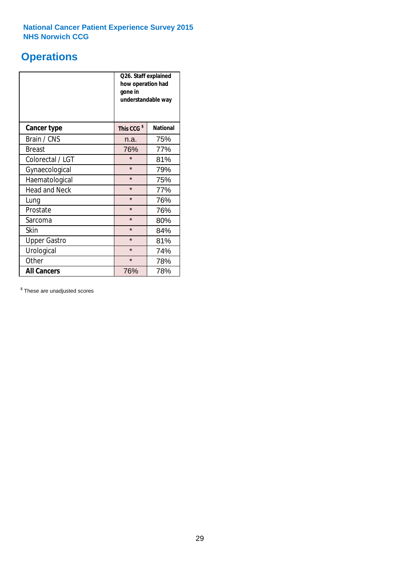### **Operations**

|                      | Q26. Staff explained<br>how operation had<br>gone in<br>understandable way |                 |  |  |
|----------------------|----------------------------------------------------------------------------|-----------------|--|--|
| <b>Cancer type</b>   | This CCG <sup>\$</sup>                                                     | <b>National</b> |  |  |
| Brain / CNS          | n.a.                                                                       | 75%             |  |  |
| <b>Breast</b>        | 76%                                                                        | 77%             |  |  |
| Colorectal / LGT     | $\star$                                                                    | 81%             |  |  |
| Gynaecological       | $\star$                                                                    | 79%             |  |  |
| Haematological       | $\star$                                                                    | 75%             |  |  |
| <b>Head and Neck</b> | $\star$                                                                    | 77%             |  |  |
| Lung                 | $\star$                                                                    | 76%             |  |  |
| Prostate             | $\star$                                                                    | 76%             |  |  |
| Sarcoma              | $\star$                                                                    | 80%             |  |  |
| Skin                 | $\star$                                                                    | 84%             |  |  |
| <b>Upper Gastro</b>  | $\star$                                                                    | 81%             |  |  |
| Urological           | $\star$                                                                    | 74%             |  |  |
| Other                | $\star$                                                                    | 78%             |  |  |
| <b>All Cancers</b>   | 76%                                                                        | 78%             |  |  |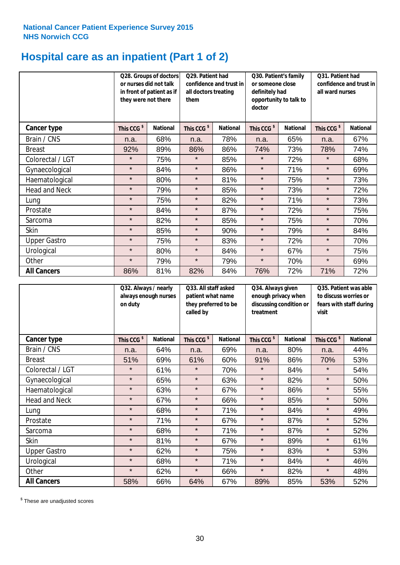# **Hospital care as an inpatient (Part 1 of 2)**

|                      | or nurses did not talk<br>they were not there | Q28. Groups of doctors<br>in front of patient as if | Q29. Patient had<br>confidence and trust in<br>all doctors treating<br>them |                 | Q30. Patient's family<br>or someone close<br>definitely had<br>opportunity to talk to<br>doctor |                 | Q31. Patient had<br>confidence and trust in I<br>all ward nurses |                 |
|----------------------|-----------------------------------------------|-----------------------------------------------------|-----------------------------------------------------------------------------|-----------------|-------------------------------------------------------------------------------------------------|-----------------|------------------------------------------------------------------|-----------------|
| Cancer type          | This CCG <sup>\$</sup>                        | <b>National</b>                                     | This CCG <sup>\$</sup>                                                      | <b>National</b> | This CCG <sup>\$</sup>                                                                          | <b>National</b> | This CCG <sup>\$</sup>                                           | <b>National</b> |
| Brain / CNS          | n.a.                                          | 68%                                                 | n.a.                                                                        | 78%             | n.a.                                                                                            | 65%             | n.a.                                                             | 67%             |
| <b>Breast</b>        | 92%                                           | 89%                                                 | 86%                                                                         | 86%             | 74%                                                                                             | 73%             | 78%                                                              | 74%             |
| Colorectal / LGT     | $\star$                                       | 75%                                                 | $\star$                                                                     | 85%             | $\star$                                                                                         | 72%             | $\star$                                                          | 68%             |
| Gynaecological       | $\star$                                       | 84%                                                 | $\star$                                                                     | 86%             | $\star$                                                                                         | 71%             | $\star$                                                          | 69%             |
| Haematological       | $\star$                                       | 80%                                                 | $\star$                                                                     | 81%             | $\star$                                                                                         | 75%             | $\star$                                                          | 73%             |
| <b>Head and Neck</b> | $\star$                                       | 79%                                                 | $\star$                                                                     | 85%             | $\star$                                                                                         | 73%             | $\star$                                                          | 72%             |
| Lung                 | $\star$                                       | 75%                                                 | $\star$                                                                     | 82%             | $\star$                                                                                         | 71%             | $\star$                                                          | 73%             |
| Prostate             | $\star$                                       | 84%                                                 | $\star$                                                                     | 87%             | $\star$                                                                                         | 72%             | $\star$                                                          | 75%             |
| Sarcoma              | $\star$                                       | 82%                                                 | $\star$                                                                     | 85%             | $\star$                                                                                         | 75%             | $\star$                                                          | 70%             |
| Skin                 | $\star$                                       | 85%                                                 | $\star$                                                                     | 90%             | $\star$                                                                                         | 79%             | $\star$                                                          | 84%             |
| <b>Upper Gastro</b>  | $\star$                                       | 75%                                                 | $\star$                                                                     | 83%             | $\star$                                                                                         | 72%             | $\star$                                                          | 70%             |
| Urological           | $\star$                                       | 80%                                                 | $\star$                                                                     | 84%             | $\star$                                                                                         | 67%             | $\star$                                                          | 75%             |
| Other                | $\star$                                       | 79%                                                 | $\star$                                                                     | 79%             | $\star$                                                                                         | 70%             | $\star$                                                          | 69%             |
| <b>All Cancers</b>   | 86%                                           | 81%                                                 | 82%                                                                         | 84%             | 76%                                                                                             | 72%             | 71%                                                              | 72%             |

|                      | Q32. Always / nearly<br>on duty | always enough nurses | Q33. All staff asked<br>patient what name<br>they preferred to be<br>called by |                 | Q34. Always given<br>enough privacy when<br>discussing condition or<br>treatment |                 | Q35. Patient was able<br>to discuss worries or<br>fears with staff during<br>visit |                 |
|----------------------|---------------------------------|----------------------|--------------------------------------------------------------------------------|-----------------|----------------------------------------------------------------------------------|-----------------|------------------------------------------------------------------------------------|-----------------|
| Cancer type          | This CCG <sup>\$</sup>          | <b>National</b>      | This CCG <sup>\$</sup>                                                         | <b>National</b> | This CCG <sup>\$</sup>                                                           | <b>National</b> | This CCG <sup>\$</sup>                                                             | <b>National</b> |
| Brain / CNS          | n.a.                            | 64%                  | n.a.                                                                           | 69%             | n.a.                                                                             | 80%             | n.a.                                                                               | 44%             |
| <b>Breast</b>        | 51%                             | 69%                  | 61%                                                                            | 60%             | 91%                                                                              | 86%             | 70%                                                                                | 53%             |
| Colorectal / LGT     | $\star$                         | 61%                  | $\star$                                                                        | 70%             | $\star$                                                                          | 84%             | $\star$                                                                            | 54%             |
| Gynaecological       | $\star$                         | 65%                  | $\star$                                                                        | 63%             | $\star$                                                                          | 82%             | $\star$                                                                            | 50%             |
| Haematological       | $\star$                         | 63%                  | $\star$                                                                        | 67%             | $\star$                                                                          | 86%             | $\star$                                                                            | 55%             |
| <b>Head and Neck</b> | $\star$                         | 67%                  | $\star$                                                                        | 66%             | $\star$                                                                          | 85%             | $\star$                                                                            | 50%             |
| Lung                 | $\star$                         | 68%                  | $\star$                                                                        | 71%             | $\star$                                                                          | 84%             | $\star$                                                                            | 49%             |
| Prostate             | $\star$                         | 71%                  | $\star$                                                                        | 67%             | $\star$                                                                          | 87%             | $\star$                                                                            | 52%             |
| Sarcoma              | $\star$                         | 68%                  | $\star$                                                                        | 71%             | $\star$                                                                          | 87%             | $\star$                                                                            | 52%             |
| Skin                 | $\star$                         | 81%                  | $\star$                                                                        | 67%             | $\star$                                                                          | 89%             | $\star$                                                                            | 61%             |
| <b>Upper Gastro</b>  | $\star$                         | 62%                  | $\star$                                                                        | 75%             | $\star$                                                                          | 83%             | $\star$                                                                            | 53%             |
| Urological           | $\star$                         | 68%                  | $\star$                                                                        | 71%             | $\star$                                                                          | 84%             | $\star$                                                                            | 46%             |
| Other                | $\star$                         | 62%                  | $\star$                                                                        | 66%             | $\star$                                                                          | 82%             | $\star$                                                                            | 48%             |
| <b>All Cancers</b>   | 58%                             | 66%                  | 64%                                                                            | 67%             | 89%                                                                              | 85%             | 53%                                                                                | 52%             |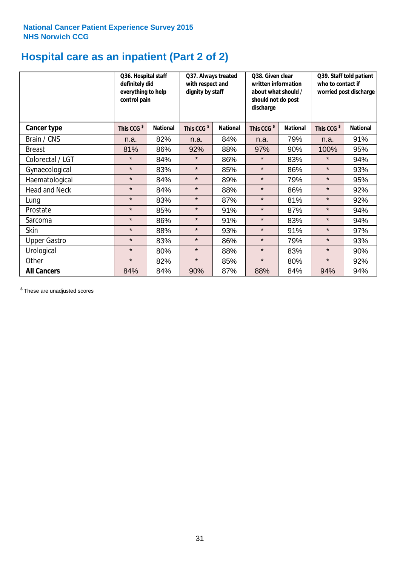# **Hospital care as an inpatient (Part 2 of 2)**

|                      | Q36. Hospital staff<br>definitely did<br>everything to help<br>control pain |                 | Q37. Always treated<br>with respect and<br>dignity by staff |                 | Q38. Given clear<br>written information<br>about what should /<br>should not do post<br>discharge |                 | Q39. Staff told patient<br>who to contact if<br>worried post discharge |                 |
|----------------------|-----------------------------------------------------------------------------|-----------------|-------------------------------------------------------------|-----------------|---------------------------------------------------------------------------------------------------|-----------------|------------------------------------------------------------------------|-----------------|
| Cancer type          | This CCG <sup>\$</sup>                                                      | <b>National</b> | This CCG <sup>\$</sup>                                      | <b>National</b> | This CCG <sup>\$</sup>                                                                            | <b>National</b> | This CCG <sup>\$</sup>                                                 | <b>National</b> |
| Brain / CNS          | n.a.                                                                        | 82%             | n.a.                                                        | 84%             | n.a.                                                                                              | 79%             | n.a.                                                                   | 91%             |
| <b>Breast</b>        | 81%                                                                         | 86%             | 92%                                                         | 88%             | 97%                                                                                               | 90%             | 100%                                                                   | 95%             |
| Colorectal / LGT     | $\star$                                                                     | 84%             | $\star$                                                     | 86%             | $\star$                                                                                           | 83%             | $\star$                                                                | 94%             |
| Gynaecological       | $\star$                                                                     | 83%             | $\star$                                                     | 85%             | $\star$                                                                                           | 86%             | $\star$                                                                | 93%             |
| Haematological       | $\star$                                                                     | 84%             | $\star$                                                     | 89%             | $\star$                                                                                           | 79%             | $\star$                                                                | 95%             |
| <b>Head and Neck</b> | $\star$                                                                     | 84%             | $\star$                                                     | 88%             | $\star$                                                                                           | 86%             | $\star$                                                                | 92%             |
| Lung                 | $\star$                                                                     | 83%             | $\star$                                                     | 87%             | $\star$                                                                                           | 81%             | $\star$                                                                | 92%             |
| Prostate             | $\star$                                                                     | 85%             | $\star$                                                     | 91%             | $\star$                                                                                           | 87%             | $\star$                                                                | 94%             |
| Sarcoma              | $\star$                                                                     | 86%             | $\star$                                                     | 91%             | $\star$                                                                                           | 83%             | $\star$                                                                | 94%             |
| Skin                 | $\star$                                                                     | 88%             | $\star$                                                     | 93%             | $\star$                                                                                           | 91%             | $\star$                                                                | 97%             |
| <b>Upper Gastro</b>  | $\star$                                                                     | 83%             | $\star$                                                     | 86%             | $\star$                                                                                           | 79%             | $\star$                                                                | 93%             |
| Urological           | $\star$                                                                     | 80%             | $\star$                                                     | 88%             | $\star$                                                                                           | 83%             | $\star$                                                                | 90%             |
| Other                | $\star$                                                                     | 82%             | $\star$                                                     | 85%             | $\star$                                                                                           | 80%             | $\star$                                                                | 92%             |
| <b>All Cancers</b>   | 84%                                                                         | 84%             | 90%                                                         | 87%             | 88%                                                                                               | 84%             | 94%                                                                    | 94%             |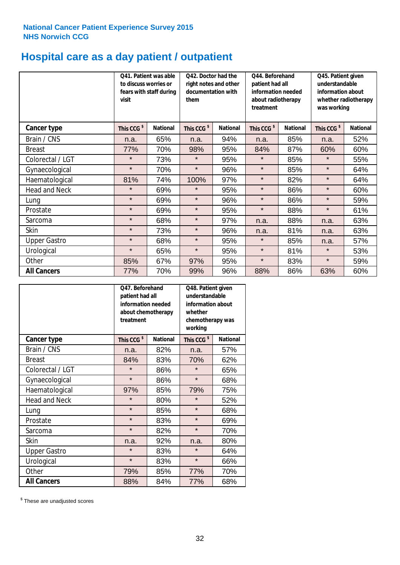# **Hospital care as a day patient / outpatient**

|                      | to discuss worries or<br>visit | Q41. Patient was able<br>fears with staff during | Q42. Doctor had the<br>right notes and other<br>documentation with<br>them |                 | Q44. Beforehand<br>patient had all<br>information needed<br>about radiotherapy<br>treatment |                 | Q45. Patient given<br>understandable<br>information about<br>whether radiotherapy<br>was working |                 |
|----------------------|--------------------------------|--------------------------------------------------|----------------------------------------------------------------------------|-----------------|---------------------------------------------------------------------------------------------|-----------------|--------------------------------------------------------------------------------------------------|-----------------|
| Cancer type          | This CCG <sup>\$</sup>         | <b>National</b>                                  | This CCG <sup>\$</sup>                                                     | <b>National</b> | This CCG <sup>\$</sup>                                                                      | <b>National</b> | This CCG <sup>\$</sup>                                                                           | <b>National</b> |
| Brain / CNS          | n.a.                           | 65%                                              | n.a.                                                                       | 94%             | n.a.                                                                                        | 85%             | n.a.                                                                                             | 52%             |
| <b>Breast</b>        | 77%                            | 70%                                              | 98%                                                                        | 95%             | 84%                                                                                         | 87%             | 60%                                                                                              | 60%             |
| Colorectal / LGT     | $\star$                        | 73%                                              | $\star$                                                                    | 95%             | $\star$                                                                                     | 85%             | $\star$                                                                                          | 55%             |
| Gynaecological       | $\star$                        | 70%                                              | $\star$                                                                    | 96%             | $\star$                                                                                     | 85%             | $\star$                                                                                          | 64%             |
| Haematological       | 81%                            | 74%                                              | 100%                                                                       | 97%             | $\star$                                                                                     | 82%             | $\star$                                                                                          | 64%             |
| <b>Head and Neck</b> | $\star$                        | 69%                                              | $\star$                                                                    | 95%             | $\star$                                                                                     | 86%             | $\star$                                                                                          | 60%             |
| Lung                 | $\star$                        | 69%                                              | $\star$                                                                    | 96%             | $\star$                                                                                     | 86%             | $\star$                                                                                          | 59%             |
| Prostate             | $\star$                        | 69%                                              | $\star$                                                                    | 95%             | $\star$                                                                                     | 88%             | $\star$                                                                                          | 61%             |
| Sarcoma              | $\star$                        | 68%                                              | $\star$                                                                    | 97%             | n.a.                                                                                        | 88%             | n.a.                                                                                             | 63%             |
| Skin                 | $\star$                        | 73%                                              | $\star$                                                                    | 96%             | n.a.                                                                                        | 81%             | n.a.                                                                                             | 63%             |
| <b>Upper Gastro</b>  | $\star$                        | 68%                                              | $\star$                                                                    | 95%             | $\star$                                                                                     | 85%             | n.a.                                                                                             | 57%             |
| Urological           | $\star$                        | 65%                                              | $\star$                                                                    | 95%             | $\star$                                                                                     | 81%             | $\star$                                                                                          | 53%             |
| Other                | 85%                            | 67%                                              | 97%                                                                        | 95%             | $\star$                                                                                     | 83%             | $\star$                                                                                          | 59%             |
| <b>All Cancers</b>   | 77%                            | 70%                                              | 99%                                                                        | 96%             | 88%                                                                                         | 86%             | 63%                                                                                              | 60%             |

|                      | Q47. Beforehand<br>patient had all<br>information needed<br>about chemotherapy<br>treatment |                 | Q48. Patient given<br>understandable<br>information about<br>whether<br>chemotherapy was<br>working |                 |  |
|----------------------|---------------------------------------------------------------------------------------------|-----------------|-----------------------------------------------------------------------------------------------------|-----------------|--|
| <b>Cancer type</b>   | This CCG <sup>\$</sup>                                                                      | <b>National</b> | This CCG <sup>\$</sup>                                                                              | <b>National</b> |  |
| Brain / CNS          | n.a.                                                                                        | 82%             | n.a.                                                                                                | 57%             |  |
| <b>Breast</b>        | 84%                                                                                         | 83%             | 70%                                                                                                 | 62%             |  |
| Colorectal / LGT     | $\star$                                                                                     | 86%             | $\star$                                                                                             | 65%             |  |
| Gynaecological       | $\star$                                                                                     | 86%             | $\star$                                                                                             | 68%             |  |
| Haematological       | 97%                                                                                         | 85%             | 79%                                                                                                 | 75%             |  |
| <b>Head and Neck</b> | $\star$                                                                                     | 80%             | $\star$                                                                                             | 52%             |  |
| Lung                 | $\star$                                                                                     | 85%             | $\star$                                                                                             | 68%             |  |
| Prostate             | $\star$                                                                                     | 83%             | $\star$                                                                                             | 69%             |  |
| Sarcoma              | $\star$                                                                                     | 82%             | $\star$                                                                                             | 70%             |  |
| <b>Skin</b>          | n.a.                                                                                        | 92%             | n.a.                                                                                                | 80%             |  |
| <b>Upper Gastro</b>  | $\star$                                                                                     | 83%             | $\star$                                                                                             | 64%             |  |
| Urological           | $\star$                                                                                     | 83%             |                                                                                                     | 66%             |  |
| Other                | 79%                                                                                         | 85%             | 77%                                                                                                 | 70%             |  |
| <b>All Cancers</b>   | 88%                                                                                         | 84%             | 77%                                                                                                 | 68%             |  |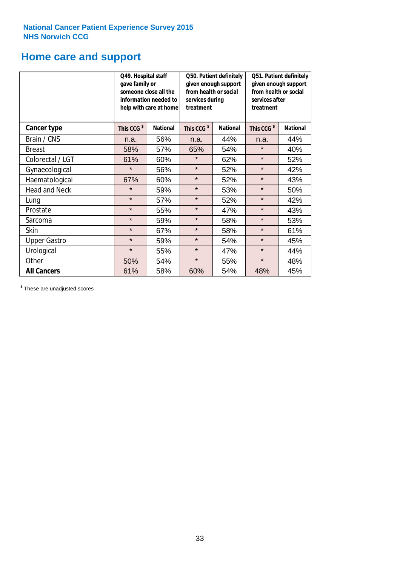### **Home care and support**

|                      | Q49. Hospital staff<br>gave family or | someone close all the<br>information needed to<br>help with care at home | Q50. Patient definitely<br>given enough support<br>from health or social<br>services during<br>treatment<br><b>National</b> |     | Q51. Patient definitely<br>given enough support<br>from health or social<br>services after<br>treatment |                 |
|----------------------|---------------------------------------|--------------------------------------------------------------------------|-----------------------------------------------------------------------------------------------------------------------------|-----|---------------------------------------------------------------------------------------------------------|-----------------|
| <b>Cancer type</b>   | This CCG <sup>\$</sup>                | <b>National</b>                                                          | This CCG <sup>\$</sup>                                                                                                      |     | This CCG <sup>\$</sup>                                                                                  | <b>National</b> |
| Brain / CNS          | n.a.                                  | 56%                                                                      | n.a.                                                                                                                        | 44% | n.a.                                                                                                    | 44%             |
| <b>Breast</b>        | 58%                                   | 57%                                                                      | 65%                                                                                                                         | 54% | $\star$                                                                                                 | 40%             |
| Colorectal / LGT     | 61%                                   | 60%                                                                      | $\star$                                                                                                                     | 62% | $\star$                                                                                                 | 52%             |
| Gynaecological       | $\star$                               | 56%                                                                      | $\star$                                                                                                                     | 52% | $\star$                                                                                                 | 42%             |
| Haematological       | 67%                                   | 60%                                                                      | $\star$                                                                                                                     | 52% | $\star$                                                                                                 | 43%             |
| <b>Head and Neck</b> | $\star$                               | 59%                                                                      | $\star$                                                                                                                     | 53% | $\star$                                                                                                 | 50%             |
| Lung                 | $\star$                               | 57%                                                                      | $\star$                                                                                                                     | 52% | $\star$                                                                                                 | 42%             |
| Prostate             | $\star$                               | 55%                                                                      | $\star$                                                                                                                     | 47% | $\star$                                                                                                 | 43%             |
| Sarcoma              | $\star$                               | 59%                                                                      | $\star$                                                                                                                     | 58% | $\star$                                                                                                 | 53%             |
| Skin                 | $\star$                               | 67%                                                                      | $\star$                                                                                                                     | 58% | $\star$                                                                                                 | 61%             |
| <b>Upper Gastro</b>  | $\star$                               | 59%                                                                      | $\star$                                                                                                                     | 54% | $\star$                                                                                                 | 45%             |
| Urological           | $\star$                               | 55%                                                                      | $\star$                                                                                                                     | 47% | $\star$                                                                                                 | 44%             |
| Other                | 50%                                   | 54%                                                                      | $\star$                                                                                                                     | 55% | $\star$                                                                                                 | 48%             |
| <b>All Cancers</b>   | 61%                                   | 58%                                                                      | 60%                                                                                                                         | 54% | 48%                                                                                                     | 45%             |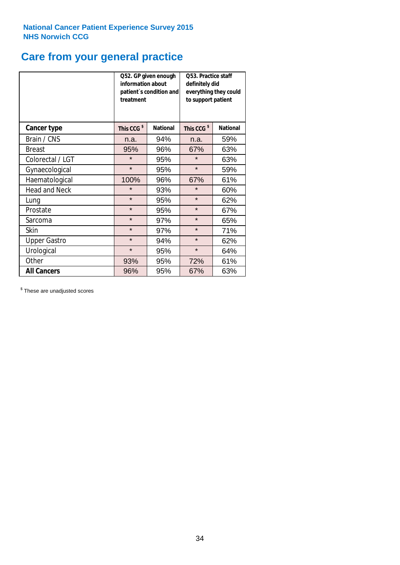# **Care from your general practice**

|                      | information about<br>treatment | Q52. GP given enough<br>patient's condition and | O53. Practice staff<br>definitely did<br>everything they could<br>to support patient |                 |  |
|----------------------|--------------------------------|-------------------------------------------------|--------------------------------------------------------------------------------------|-----------------|--|
| <b>Cancer type</b>   | This CCG <sup>\$</sup>         | <b>National</b>                                 | This CCG <sup>\$</sup>                                                               | <b>National</b> |  |
| Brain / CNS          | n.a.                           | 94%                                             | n.a.                                                                                 | 59%             |  |
| <b>Breast</b>        | 95%                            | 96%                                             | 67%                                                                                  | 63%             |  |
| Colorectal / LGT     | $\star$                        | 95%                                             | $\star$                                                                              | 63%             |  |
| Gynaecological       | $\star$                        | 95%                                             | $\star$                                                                              | 59%             |  |
| Haematological       | 100%                           | 96%                                             | 67%                                                                                  | 61%             |  |
| <b>Head and Neck</b> | $\star$                        | 93%                                             | $\star$                                                                              | 60%             |  |
| Lung                 | $\star$                        | 95%                                             | $\star$                                                                              | 62%             |  |
| Prostate             | $\star$                        | 95%                                             | $\star$                                                                              | 67%             |  |
| Sarcoma              | $\star$                        | 97%                                             | $\star$                                                                              | 65%             |  |
| Skin                 | $\star$                        | 97%                                             | $\star$                                                                              | 71%             |  |
| <b>Upper Gastro</b>  | $\star$                        | 94%                                             | $\star$                                                                              | 62%             |  |
| Urological           | $\star$                        | 95%                                             | $\star$                                                                              | 64%             |  |
| Other                | 93%                            | 95%                                             | 72%                                                                                  | 61%             |  |
| <b>All Cancers</b>   | 96%                            | 95%                                             | 67%                                                                                  | 63%             |  |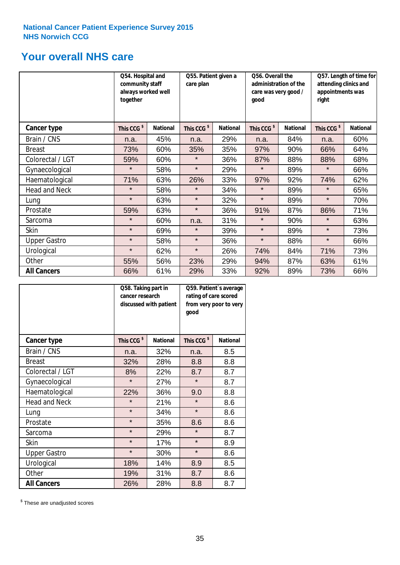### **Your overall NHS care**

|                      | Q54. Hospital and<br>community staff<br>always worked well<br>together |                 | Q55. Patient given a<br>care plan |                 | Q56. Overall the<br>administration of the<br>care was very good /<br>qood |                 | Q57. Length of time for<br>attending clinics and<br>appointments was<br>right |                 |
|----------------------|------------------------------------------------------------------------|-----------------|-----------------------------------|-----------------|---------------------------------------------------------------------------|-----------------|-------------------------------------------------------------------------------|-----------------|
| <b>Cancer type</b>   | This CCG <sup>\$</sup>                                                 | <b>National</b> | This CCG <sup>\$</sup>            | <b>National</b> | This CCG <sup>\$</sup>                                                    | <b>National</b> | This CCG <sup>\$</sup>                                                        | <b>National</b> |
| Brain / CNS          | n.a.                                                                   | 45%             | n.a.                              | 29%             | n.a.                                                                      | 84%             | n.a.                                                                          | 60%             |
| <b>Breast</b>        | 73%                                                                    | 60%             | 35%                               | 35%             | 97%                                                                       | 90%             | 66%                                                                           | 64%             |
| Colorectal / LGT     | 59%                                                                    | 60%             | $\star$                           | 36%             | 87%                                                                       | 88%             | 88%                                                                           | 68%             |
| Gynaecological       | $\star$                                                                | 58%             | $\star$                           | 29%             | $\star$                                                                   | 89%             | $\star$                                                                       | 66%             |
| Haematological       | 71%                                                                    | 63%             | 26%                               | 33%             | 97%                                                                       | 92%             | 74%                                                                           | 62%             |
| <b>Head and Neck</b> | $\star$                                                                | 58%             | $\star$                           | 34%             | $\star$                                                                   | 89%             | $\star$                                                                       | 65%             |
| Lung                 | $\star$                                                                | 63%             | $\star$                           | 32%             | $\star$                                                                   | 89%             | $\star$                                                                       | 70%             |
| Prostate             | 59%                                                                    | 63%             | $\star$                           | 36%             | 91%                                                                       | 87%             | 86%                                                                           | 71%             |
| Sarcoma              | $\star$                                                                | 60%             | n.a.                              | 31%             | $\star$                                                                   | 90%             | $\star$                                                                       | 63%             |
| Skin                 | $\star$                                                                | 69%             | $\star$                           | 39%             | $\star$                                                                   | 89%             | $\star$                                                                       | 73%             |
| <b>Upper Gastro</b>  | $\star$                                                                | 58%             | $\star$                           | 36%             | $\star$                                                                   | 88%             | $\star$                                                                       | 66%             |
| Urological           | $\star$                                                                | 62%             | $\star$                           | 26%             | 74%                                                                       | 84%             | 71%                                                                           | 73%             |
| Other                | 55%                                                                    | 56%             | 23%                               | 29%             | 94%                                                                       | 87%             | 63%                                                                           | 61%             |
| <b>All Cancers</b>   | 66%                                                                    | 61%             | 29%                               | 33%             | 92%                                                                       | 89%             | 73%                                                                           | 66%             |

|                      | Q58. Taking part in<br>cancer research | discussed with patient | Q59. Patient's average<br>rating of care scored<br>from very poor to very<br>good |                 |  |
|----------------------|----------------------------------------|------------------------|-----------------------------------------------------------------------------------|-----------------|--|
| <b>Cancer type</b>   | This CCG <sup>\$</sup>                 | <b>National</b>        | This CCG <sup>\$</sup>                                                            | <b>National</b> |  |
| Brain / CNS          | n.a.                                   | 32%                    | n.a.                                                                              | 8.5             |  |
| <b>Breast</b>        | 32%                                    | 28%                    | 8.8                                                                               | 8.8             |  |
| Colorectal / LGT     | 8%                                     | 22%                    | 8.7                                                                               | 8.7             |  |
| Gynaecological       | $\star$                                | 27%                    | $\star$                                                                           | 8.7             |  |
| Haematological       | 22%                                    | 36%                    | 9.0                                                                               | 8.8             |  |
| <b>Head and Neck</b> | $\star$                                | 21%                    | $\star$                                                                           | 8.6             |  |
| Lung                 | $\star$                                | 34%                    | $\star$                                                                           | 8.6             |  |
| Prostate             | $\star$                                | 35%                    | 8.6                                                                               | 8.6             |  |
| Sarcoma              | $\star$                                | 29%                    | $\star$                                                                           | 8.7             |  |
| <b>Skin</b>          | $\star$                                | 17%                    | $\star$                                                                           | 8.9             |  |
| <b>Upper Gastro</b>  | $\star$                                | 30%                    | $\star$                                                                           | 8.6             |  |
| Urological           | 18%                                    | 14%                    | 8.9                                                                               | 8.5             |  |
| Other                | 19%                                    | 31%                    | 8.7                                                                               | 8.6             |  |
| <b>All Cancers</b>   | 26%                                    | 28%                    | 8.8                                                                               | 8.7             |  |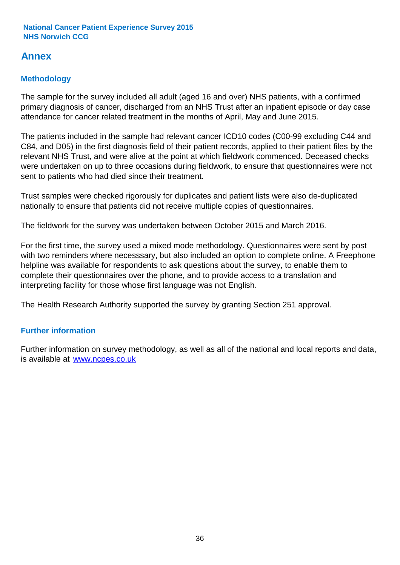### **Annex**

### **Methodology**

The sample for the survey included all adult (aged 16 and over) NHS patients, with a confirmed primary diagnosis of cancer, discharged from an NHS Trust after an inpatient episode or day case attendance for cancer related treatment in the months of April, May and June 2015.

The patients included in the sample had relevant cancer ICD10 codes (C00-99 excluding C44 and C84, and D05) in the first diagnosis field of their patient records, applied to their patient files by the relevant NHS Trust, and were alive at the point at which fieldwork commenced. Deceased checks were undertaken on up to three occasions during fieldwork, to ensure that questionnaires were not sent to patients who had died since their treatment.

Trust samples were checked rigorously for duplicates and patient lists were also de-duplicated nationally to ensure that patients did not receive multiple copies of questionnaires.

The fieldwork for the survey was undertaken between October 2015 and March 2016.

For the first time, the survey used a mixed mode methodology. Questionnaires were sent by post with two reminders where necesssary, but also included an option to complete online. A Freephone helpline was available for respondents to ask questions about the survey, to enable them to complete their questionnaires over the phone, and to provide access to a translation and interpreting facility for those whose first language was not English.

The Health Research Authority supported the survey by granting Section 251 approval.

#### **Further information**

Further information on survey methodology, as well as all of the national and local reports and data, is available at www.ncpes.co.uk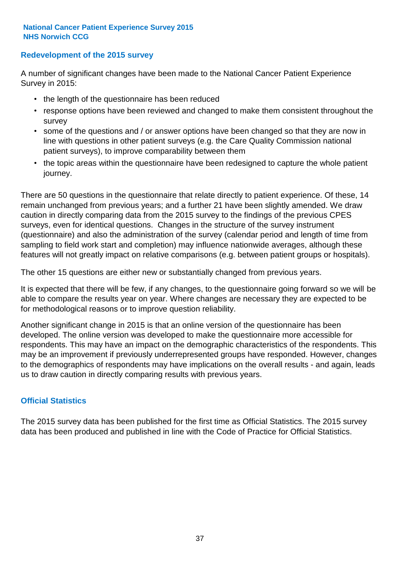#### **Redevelopment of the 2015 survey**

A number of significant changes have been made to the National Cancer Patient Experience Survey in 2015:

- the length of the questionnaire has been reduced
- response options have been reviewed and changed to make them consistent throughout the survey
- some of the questions and / or answer options have been changed so that they are now in line with questions in other patient surveys (e.g. the Care Quality Commission national patient surveys), to improve comparability between them
- the topic areas within the questionnaire have been redesigned to capture the whole patient journey.

There are 50 questions in the questionnaire that relate directly to patient experience. Of these, 14 remain unchanged from previous years; and a further 21 have been slightly amended. We draw caution in directly comparing data from the 2015 survey to the findings of the previous CPES surveys, even for identical questions. Changes in the structure of the survey instrument (questionnaire) and also the administration of the survey (calendar period and length of time from sampling to field work start and completion) may influence nationwide averages, although these features will not greatly impact on relative comparisons (e.g. between patient groups or hospitals).

The other 15 questions are either new or substantially changed from previous years.

It is expected that there will be few, if any changes, to the questionnaire going forward so we will be able to compare the results year on year. Where changes are necessary they are expected to be for methodological reasons or to improve question reliability.

Another significant change in 2015 is that an online version of the questionnaire has been developed. The online version was developed to make the questionnaire more accessible for respondents. This may have an impact on the demographic characteristics of the respondents. This may be an improvement if previously underrepresented groups have responded. However, changes to the demographics of respondents may have implications on the overall results - and again, leads us to draw caution in directly comparing results with previous years.

#### **Official Statistics**

The 2015 survey data has been published for the first time as Official Statistics. The 2015 survey data has been produced and published in line with the Code of Practice for Official Statistics.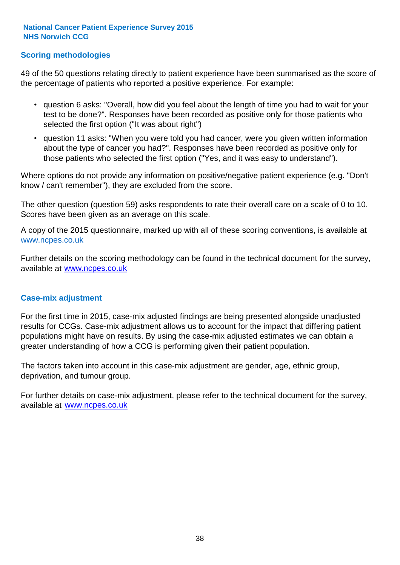#### **Scoring methodologies**

49 of the 50 questions relating directly to patient experience have been summarised as the score of the percentage of patients who reported a positive experience. For example:

- question 6 asks: "Overall, how did you feel about the length of time you had to wait for your test to be done?". Responses have been recorded as positive only for those patients who selected the first option ("It was about right")
- question 11 asks: "When you were told you had cancer, were you given written information about the type of cancer you had?". Responses have been recorded as positive only for those patients who selected the first option ("Yes, and it was easy to understand").

Where options do not provide any information on positive/negative patient experience (e.g. "Don't know / can't remember"), they are excluded from the score.

The other question (question 59) asks respondents to rate their overall care on a scale of 0 to 10. Scores have been given as an average on this scale.

A copy of the 2015 questionnaire, marked up with all of these scoring conventions, is available at www.ncpes.co.uk

Further details on the scoring methodology can be found in the technical document for the survey, available at <u>www.ncpes.co.uk</u>

#### **Case-mix adjustment**

For the first time in 2015, case-mix adjusted findings are being presented alongside unadjusted results for CCGs. Case-mix adjustment allows us to account for the impact that differing patient populations might have on results. By using the case-mix adjusted estimates we can obtain a greater understanding of how a CCG is performing given their patient population.

The factors taken into account in this case-mix adjustment are gender, age, ethnic group, deprivation, and tumour group.

For further details on case-mix adjustment, please refer to the technical document for the survey, available at www.ncpes.co.uk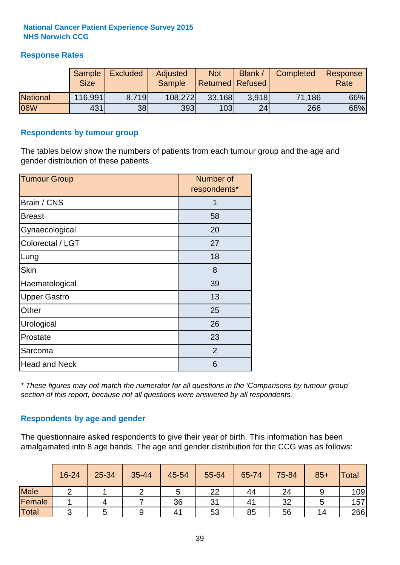#### **Response Rates**

|                 | Sample      | <b>Excluded</b> | Adjusted | <b>Not</b>              | Blank /         | Completed | Response |
|-----------------|-------------|-----------------|----------|-------------------------|-----------------|-----------|----------|
|                 | <b>Size</b> |                 | Sample   | <b>Returned Refused</b> |                 |           | Rate     |
| <b>National</b> | 116,991     | 8.719           | 108,272  | 33,168                  | 3.918           | 71,186    | 66%      |
| 06W             | 431         | 38              | 393      | 103                     | 24 <sub>1</sub> | 266       | 68%      |

#### **Respondents by tumour group**

The tables below show the numbers of patients from each tumour group and the age and gender distribution of these patients.

| <b>Tumour Group</b>  | Number of<br>respondents* |
|----------------------|---------------------------|
| Brain / CNS          | 1                         |
| <b>Breast</b>        | 58                        |
| Gynaecological       | 20                        |
| Colorectal / LGT     | 27                        |
| Lung                 | 18                        |
| <b>Skin</b>          | 8                         |
| Haematological       | 39                        |
| <b>Upper Gastro</b>  | 13                        |
| Other                | 25                        |
| Urological           | 26                        |
| Prostate             | 23                        |
| Sarcoma              | 2                         |
| <b>Head and Neck</b> | 6                         |

*\* These figures may not match the numerator for all questions in the 'Comparisons by tumour group' section of this report, because not all questions were answered by all respondents.*

#### **Respondents by age and gender**

The questionnaire asked respondents to give their year of birth. This information has been amalgamated into 8 age bands. The age and gender distribution for the CCG was as follows:

|             | 16-24 | 25-34 | 35-44 | 45-54 | 55-64 | 65-74 | 75-84 | $85+$ | <b>Total</b> |
|-------------|-------|-------|-------|-------|-------|-------|-------|-------|--------------|
| <b>Male</b> |       |       |       | C     | 22    | 44    | 24    |       | 109          |
| Female      |       |       |       | 36    | 31    | 41    | 32    |       | 157          |
| Total       | ⌒     |       |       | 41    | 53    | 85    | 56    | 14    | 266          |